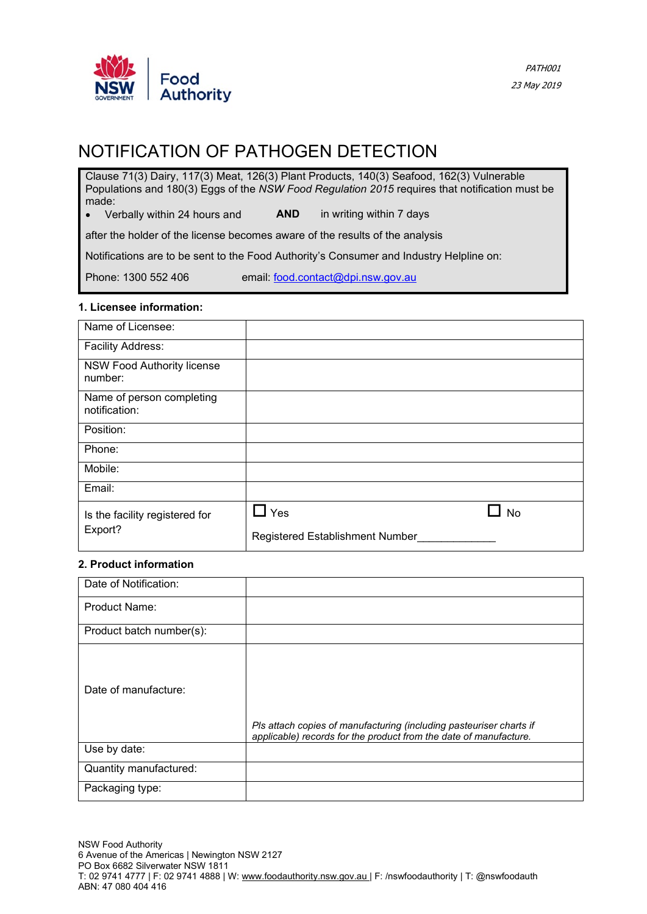

# NOTIFICATION OF PATHOGEN DETECTION

Clause 71(3) Dairy, 117(3) Meat, 126(3) Plant Products, 140(3) Seafood, 162(3) Vulnerable Populations and 180(3) Eggs of the *NSW Food Regulation 2015* requires that notification must be made:

• Verbally within 24 hours and **AND** in writing within 7 days

after the holder of the license becomes aware of the results of the analysis

Notifications are to be sent to the Food Authority's Consumer and Industry Helpline on:

Phone: 1300 552 406 email: [food.contact@dpi.nsw.gov.au](mailto:food.contact@dpi.nsw.gov.au)

### **1. Licensee information:**

| Name of Licensee:                          |                                 |
|--------------------------------------------|---------------------------------|
| Facility Address:                          |                                 |
| NSW Food Authority license<br>number:      |                                 |
| Name of person completing<br>notification: |                                 |
| Position:                                  |                                 |
| Phone:                                     |                                 |
| Mobile:                                    |                                 |
| Email:                                     |                                 |
| Is the facility registered for             | Yes<br><b>No</b>                |
| Export?                                    | Registered Establishment Number |

#### **2. Product information**

| Date of Notification:    |                                                                                                                                          |
|--------------------------|------------------------------------------------------------------------------------------------------------------------------------------|
| <b>Product Name:</b>     |                                                                                                                                          |
| Product batch number(s): |                                                                                                                                          |
| Date of manufacture:     | Pls attach copies of manufacturing (including pasteuriser charts if<br>applicable) records for the product from the date of manufacture. |
| Use by date:             |                                                                                                                                          |
| Quantity manufactured:   |                                                                                                                                          |
| Packaging type:          |                                                                                                                                          |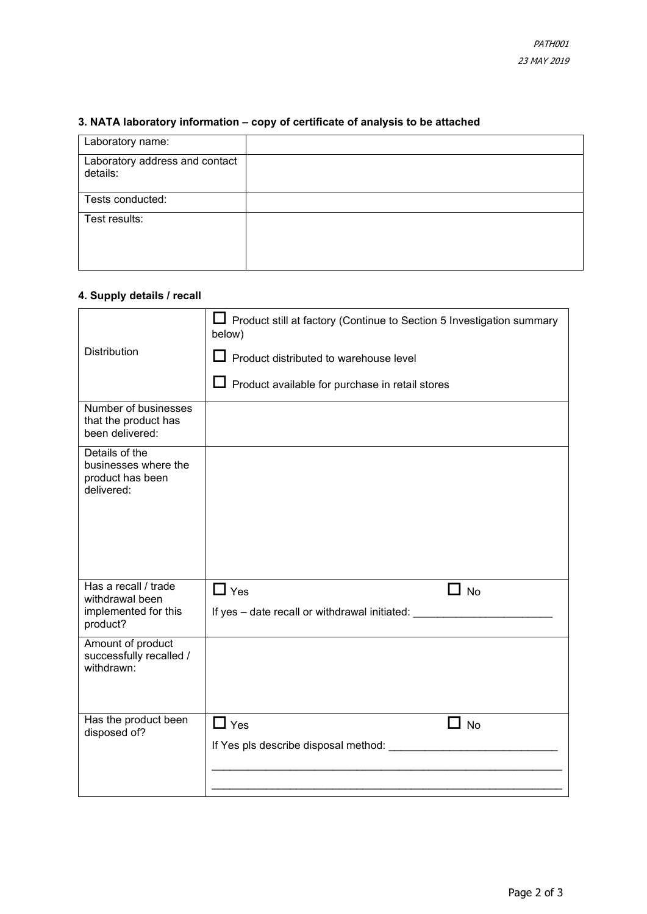|  | 3. NATA laboratory information – copy of certificate of analysis to be attached |  |  |  |
|--|---------------------------------------------------------------------------------|--|--|--|
|  |                                                                                 |  |  |  |

| Laboratory name:                           |  |
|--------------------------------------------|--|
| Laboratory address and contact<br>details: |  |
| Tests conducted:                           |  |
| Test results:                              |  |

## **4. Supply details / recall**

|                                                                          | Product still at factory (Continue to Section 5 Investigation summary<br>below)  |  |
|--------------------------------------------------------------------------|----------------------------------------------------------------------------------|--|
| Distribution                                                             | Product distributed to warehouse level                                           |  |
|                                                                          | $\Box$ Product available for purchase in retail stores                           |  |
| Number of businesses<br>that the product has<br>been delivered:          |                                                                                  |  |
| Details of the<br>businesses where the<br>product has been<br>delivered: |                                                                                  |  |
| Has a recall / trade<br>withdrawal been                                  | $\Box$ Yes<br>$\blacksquare$ No                                                  |  |
| implemented for this<br>product?                                         | If yes - date recall or withdrawal initiated:                                    |  |
| Amount of product<br>successfully recalled /<br>withdrawn:               |                                                                                  |  |
| Has the product been<br>disposed of?                                     | $\Box$ Yes<br>- 1<br><b>No</b><br>If Yes pls describe disposal method: _________ |  |
|                                                                          |                                                                                  |  |